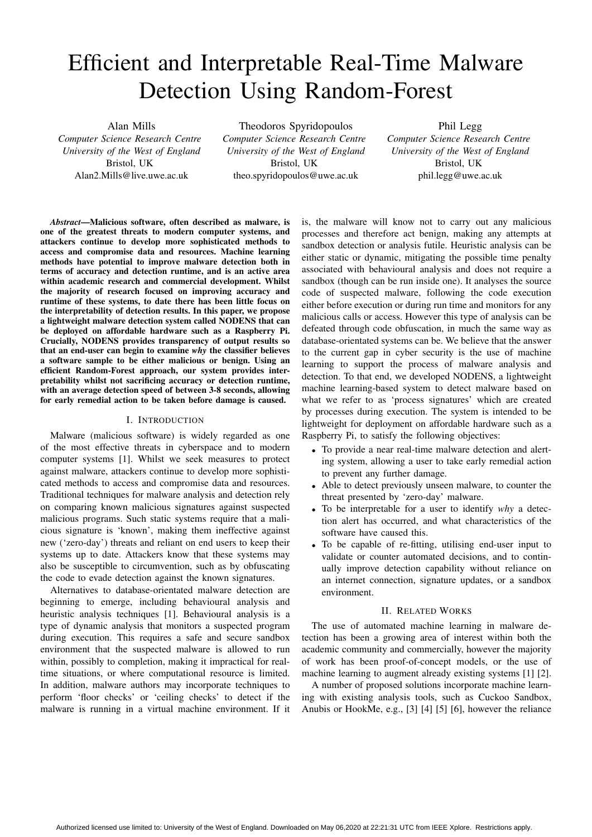# Efficient and Interpretable Real-Time Malware Detection Using Random-Forest

Alan Mills *Computer Science Research Centre University of the West of England* Bristol, UK Alan2.Mills@live.uwe.ac.uk

Theodoros Spyridopoulos *Computer Science Research Centre University of the West of England* Bristol, UK theo.spyridopoulos@uwe.ac.uk

Phil Legg *Computer Science Research Centre University of the West of England* Bristol, UK phil.legg@uwe.ac.uk

*Abstract*—Malicious software, often described as malware, is one of the greatest threats to modern computer systems, and attackers continue to develop more sophisticated methods to access and compromise data and resources. Machine learning methods have potential to improve malware detection both in terms of accuracy and detection runtime, and is an active area within academic research and commercial development. Whilst the majority of research focused on improving accuracy and runtime of these systems, to date there has been little focus on the interpretability of detection results. In this paper, we propose a lightweight malware detection system called NODENS that can be deployed on affordable hardware such as a Raspberry Pi. Crucially, NODENS provides transparency of output results so that an end-user can begin to examine *why* the classifier believes a software sample to be either malicious or benign. Using an efficient Random-Forest approach, our system provides interpretability whilst not sacrificing accuracy or detection runtime, with an average detection speed of between 3-8 seconds, allowing for early remedial action to be taken before damage is caused.

# I. INTRODUCTION

Malware (malicious software) is widely regarded as one of the most effective threats in cyberspace and to modern computer systems [1]. Whilst we seek measures to protect against malware, attackers continue to develop more sophisticated methods to access and compromise data and resources. Traditional techniques for malware analysis and detection rely on comparing known malicious signatures against suspected malicious programs. Such static systems require that a malicious signature is 'known', making them ineffective against new ('zero-day') threats and reliant on end users to keep their systems up to date. Attackers know that these systems may also be susceptible to circumvention, such as by obfuscating the code to evade detection against the known signatures.

Alternatives to database-orientated malware detection are beginning to emerge, including behavioural analysis and heuristic analysis techniques [1]. Behavioural analysis is a type of dynamic analysis that monitors a suspected program during execution. This requires a safe and secure sandbox environment that the suspected malware is allowed to run within, possibly to completion, making it impractical for realtime situations, or where computational resource is limited. In addition, malware authors may incorporate techniques to perform 'floor checks' or 'ceiling checks' to detect if the malware is running in a virtual machine environment. If it is, the malware will know not to carry out any malicious processes and therefore act benign, making any attempts at sandbox detection or analysis futile. Heuristic analysis can be either static or dynamic, mitigating the possible time penalty associated with behavioural analysis and does not require a sandbox (though can be run inside one). It analyses the source code of suspected malware, following the code execution either before execution or during run time and monitors for any malicious calls or access. However this type of analysis can be defeated through code obfuscation, in much the same way as database-orientated systems can be. We believe that the answer to the current gap in cyber security is the use of machine learning to support the process of malware analysis and detection. To that end, we developed NODENS, a lightweight machine learning-based system to detect malware based on what we refer to as 'process signatures' which are created by processes during execution. The system is intended to be lightweight for deployment on affordable hardware such as a Raspberry Pi, to satisfy the following objectives:

- To provide a near real-time malware detection and alerting system, allowing a user to take early remedial action to prevent any further damage.
- Able to detect previously unseen malware, to counter the threat presented by 'zero-day' malware.
- To be interpretable for a user to identify *why* a detection alert has occurred, and what characteristics of the software have caused this.
- To be capable of re-fitting, utilising end-user input to validate or counter automated decisions, and to continually improve detection capability without reliance on an internet connection, signature updates, or a sandbox environment.

## II. RELATED WORKS

The use of automated machine learning in malware detection has been a growing area of interest within both the academic community and commercially, however the majority of work has been proof-of-concept models, or the use of machine learning to augment already existing systems [1] [2].

A number of proposed solutions incorporate machine learning with existing analysis tools, such as Cuckoo Sandbox, Anubis or HookMe, e.g., [3] [4] [5] [6], however the reliance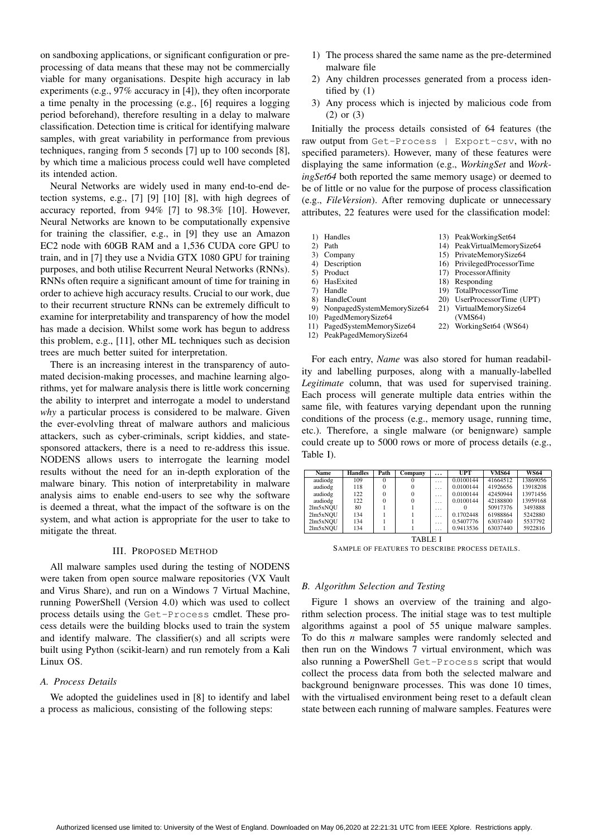on sandboxing applications, or significant configuration or preprocessing of data means that these may not be commercially viable for many organisations. Despite high accuracy in lab experiments (e.g., 97% accuracy in [4]), they often incorporate a time penalty in the processing (e.g., [6] requires a logging period beforehand), therefore resulting in a delay to malware classification. Detection time is critical for identifying malware samples, with great variability in performance from previous techniques, ranging from 5 seconds [7] up to 100 seconds [8], by which time a malicious process could well have completed its intended action.

Neural Networks are widely used in many end-to-end detection systems, e.g., [7] [9] [10] [8], with high degrees of accuracy reported, from 94% [7] to 98.3% [10]. However, Neural Networks are known to be computationally expensive for training the classifier, e.g., in [9] they use an Amazon EC2 node with 60GB RAM and a 1,536 CUDA core GPU to train, and in [7] they use a Nvidia GTX 1080 GPU for training purposes, and both utilise Recurrent Neural Networks (RNNs). RNNs often require a significant amount of time for training in order to achieve high accuracy results. Crucial to our work, due to their recurrent structure RNNs can be extremely difficult to examine for interpretability and transparency of how the model has made a decision. Whilst some work has begun to address this problem, e.g., [11], other ML techniques such as decision trees are much better suited for interpretation.

There is an increasing interest in the transparency of automated decision-making processes, and machine learning algorithms, yet for malware analysis there is little work concerning the ability to interpret and interrogate a model to understand *why* a particular process is considered to be malware. Given the ever-evolvling threat of malware authors and malicious attackers, such as cyber-criminals, script kiddies, and statesponsored attackers, there is a need to re-address this issue. NODENS allows users to interrogate the learning model results without the need for an in-depth exploration of the malware binary. This notion of interpretability in malware analysis aims to enable end-users to see why the software is deemed a threat, what the impact of the software is on the system, and what action is appropriate for the user to take to mitigate the threat.

# III. PROPOSED METHOD

All malware samples used during the testing of NODENS were taken from open source malware repositories (VX Vault and Virus Share), and run on a Windows 7 Virtual Machine, running PowerShell (Version 4.0) which was used to collect process details using the Get-Process cmdlet. These process details were the building blocks used to train the system and identify malware. The classifier(s) and all scripts were built using Python (scikit-learn) and run remotely from a Kali Linux OS.

# *A. Process Details*

We adopted the guidelines used in [8] to identify and label a process as malicious, consisting of the following steps:

- 1) The process shared the same name as the pre-determined malware file
- 2) Any children processes generated from a process identified by (1)
- 3) Any process which is injected by malicious code from (2) or (3)

Initially the process details consisted of 64 features (the raw output from Get-Process | Export-csv, with no specified parameters). However, many of these features were displaying the same information (e.g., *WorkingSet* and *WorkingSet64* both reported the same memory usage) or deemed to be of little or no value for the purpose of process classification (e.g., *FileVersion*). After removing duplicate or unnecessary attributes, 22 features were used for the classification model:

- 1) Handles
- 2) Path
- 3) Company
- 4) Description 5) Product
- 6) HasExited
- 7) Handle
- 8) HandleCount
- 9) NonpagedSystemMemorySize64
- 10) PagedMemorySize64
- 
- 12) PeakPagedMemorySize64
- 13) PeakWorkingSet64
- 14) PeakVirtualMemorySize64
- 15) PrivateMemorySize64
- 16) PrivilegedProcessorTime
- 17) ProcessorAffinity
- 18) Responding 19) TotalProcessorTime
- 
- 20) UserProcessorTime (UPT) 21) VirtualMemorySize64
- -
- 11) PagedSystemMemorySize64
- (VMS64) 22) WorkingSet64 (WS64)
- 

For each entry, *Name* was also stored for human readability and labelling purposes, along with a manually-labelled *Legitimate* column, that was used for supervised training. Each process will generate multiple data entries within the same file, with features varying dependant upon the running conditions of the process (e.g., memory usage, running time, etc.). Therefore, a single malware (or benignware) sample could create up to 5000 rows or more of process details (e.g., Table I).

| Name     | <b>Handles</b> | Path     | Company  | $\cdots$ | <b>UPT</b> | <b>VMS64</b> | <b>WS64</b> |
|----------|----------------|----------|----------|----------|------------|--------------|-------------|
| audiodg  | 109            | 0        | υ        | .        | 0.0100144  | 41664512     | 13869056    |
| audiodg  | 118            | $\Omega$ | $\Omega$ | .        | 0.0100144  | 41926656     | 13918208    |
| audiodg  | 122            | $\Omega$ |          | .        | 0.0100144  | 42450944     | 13971456    |
| audiodg  | 122            | $\Omega$ |          | .        | 0.0100144  | 42188800     | 13959168    |
| 2lm5xNOU | 80             |          |          | .        |            | 50917376     | 3493888     |
| 2lm5xNOU | 134            |          |          | .        | 0.1702448  | 61988864     | 5242880     |
| 2lm5xNOU | 134            |          |          | .        | 0.5407776  | 63037440     | 5537792     |
| 2lm5xNOU | 134            |          |          | .        | 0.9413536  | 63037440     | 5922816     |
| TABLE I  |                |          |          |          |            |              |             |

SAMPLE OF FEATURES TO DESCRIBE PROCESS DETAILS.

## *B. Algorithm Selection and Testing*

Figure 1 shows an overview of the training and algorithm selection process. The initial stage was to test multiple algorithms against a pool of 55 unique malware samples. To do this *n* malware samples were randomly selected and then run on the Windows 7 virtual environment, which was also running a PowerShell Get-Process script that would collect the process data from both the selected malware and background benignware processes. This was done 10 times, with the virtualised environment being reset to a default clean state between each running of malware samples. Features were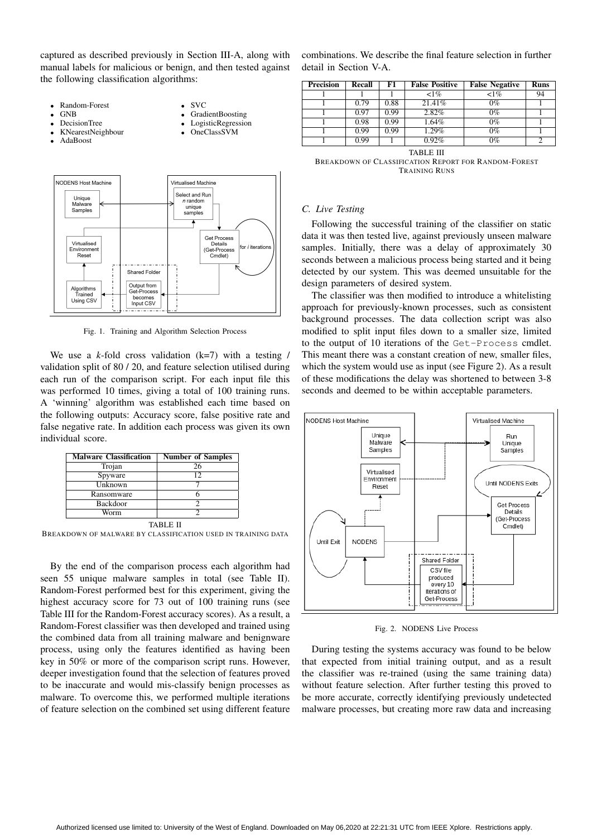captured as described previously in Section III-A, along with manual labels for malicious or benign, and then tested against the following classification algorithms:

- Random-Forest
- GNB
- DecisionTree
- KNearestNeighbour
- AdaBoost
- SVC • GradientBoosting
- LogisticRegression
- OneClassSVM



Fig. 1. Training and Algorithm Selection Process

We use a  $k$ -fold cross validation  $(k=7)$  with a testing / validation split of 80 / 20, and feature selection utilised during each run of the comparison script. For each input file this was performed 10 times, giving a total of 100 training runs. A 'winning' algorithm was established each time based on the following outputs: Accuracy score, false positive rate and false negative rate. In addition each process was given its own individual score.

| <b>Number of Samples</b> |
|--------------------------|
| 26                       |
| 12                       |
|                          |
|                          |
|                          |
|                          |
|                          |

TABLE II

BREAKDOWN OF MALWARE BY CLASSIFICATION USED IN TRAINING DATA

By the end of the comparison process each algorithm had seen 55 unique malware samples in total (see Table II). Random-Forest performed best for this experiment, giving the highest accuracy score for 73 out of 100 training runs (see Table III for the Random-Forest accuracy scores). As a result, a Random-Forest classifier was then developed and trained using the combined data from all training malware and benignware process, using only the features identified as having been key in 50% or more of the comparison script runs. However, deeper investigation found that the selection of features proved to be inaccurate and would mis-classify benign processes as malware. To overcome this, we performed multiple iterations of feature selection on the combined set using different feature

combinations. We describe the final feature selection in further detail in Section V-A.

| <b>Precision</b> | Recall | F1   | <b>False Positive</b> | <b>False Negative</b> | Runs |
|------------------|--------|------|-----------------------|-----------------------|------|
|                  |        |      | ${<}1\%$              | $1\%$                 | 94   |
|                  | 0.79   | 0.88 | 21.41%                | 0%                    |      |
|                  | 0.97   | 0.99 | 2.82%                 | 0%                    |      |
|                  | 0.98   | 0.99 | 1.64%                 | 0%                    |      |
|                  | 0.99   | 0.99 | 1.29%                 | $0\%$                 |      |
|                  | 0.99   |      | 0.92%                 | 0%                    | っ    |
|                  |        |      | TABLE III             |                       |      |

BREAKDOWN OF CLASSIFICATION REPORT FOR RANDOM-FOREST TRAINING RUNS

# *C. Live Testing*

Following the successful training of the classifier on static data it was then tested live, against previously unseen malware samples. Initially, there was a delay of approximately 30 seconds between a malicious process being started and it being detected by our system. This was deemed unsuitable for the design parameters of desired system.

The classifier was then modified to introduce a whitelisting approach for previously-known processes, such as consistent background processes. The data collection script was also modified to split input files down to a smaller size, limited to the output of 10 iterations of the Get-Process cmdlet. This meant there was a constant creation of new, smaller files, which the system would use as input (see Figure 2). As a result of these modifications the delay was shortened to between 3-8 seconds and deemed to be within acceptable parameters.



Fig. 2. NODENS Live Process

During testing the systems accuracy was found to be below that expected from initial training output, and as a result the classifier was re-trained (using the same training data) without feature selection. After further testing this proved to be more accurate, correctly identifying previously undetected malware processes, but creating more raw data and increasing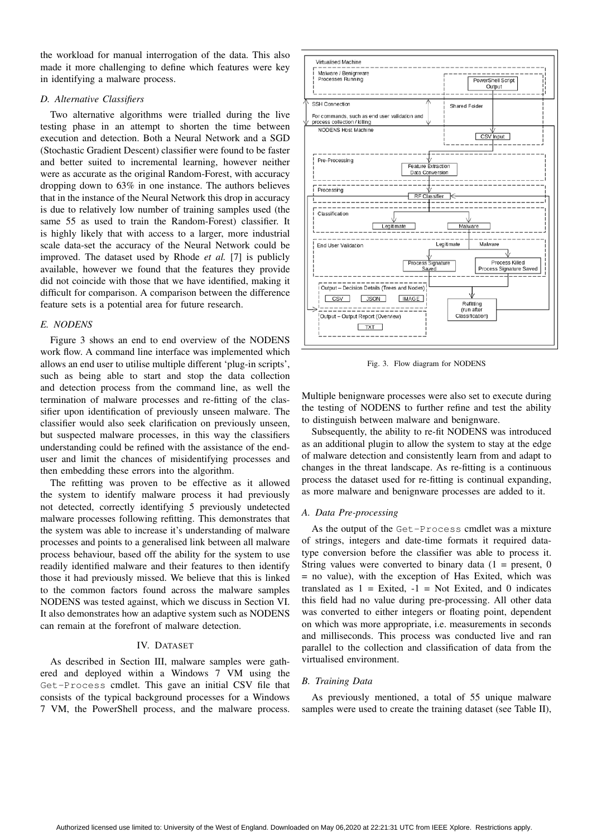the workload for manual interrogation of the data. This also made it more challenging to define which features were key in identifying a malware process.

## *D. Alternative Classifiers*

Two alternative algorithms were trialled during the live testing phase in an attempt to shorten the time between execution and detection. Both a Neural Network and a SGD (Stochastic Gradient Descent) classifier were found to be faster and better suited to incremental learning, however neither were as accurate as the original Random-Forest, with accuracy dropping down to 63% in one instance. The authors believes that in the instance of the Neural Network this drop in accuracy is due to relatively low number of training samples used (the same 55 as used to train the Random-Forest) classifier. It is highly likely that with access to a larger, more industrial scale data-set the accuracy of the Neural Network could be improved. The dataset used by Rhode *et al.* [7] is publicly available, however we found that the features they provide did not coincide with those that we have identified, making it difficult for comparison. A comparison between the difference feature sets is a potential area for future research.

# *E. NODENS*

Figure 3 shows an end to end overview of the NODENS work flow. A command line interface was implemented which allows an end user to utilise multiple different 'plug-in scripts', such as being able to start and stop the data collection and detection process from the command line, as well the termination of malware processes and re-fitting of the classifier upon identification of previously unseen malware. The classifier would also seek clarification on previously unseen, but suspected malware processes, in this way the classifiers understanding could be refined with the assistance of the enduser and limit the chances of misidentifying processes and then embedding these errors into the algorithm.

The refitting was proven to be effective as it allowed the system to identify malware process it had previously not detected, correctly identifying 5 previously undetected malware processes following refitting. This demonstrates that the system was able to increase it's understanding of malware processes and points to a generalised link between all malware process behaviour, based off the ability for the system to use readily identified malware and their features to then identify those it had previously missed. We believe that this is linked to the common factors found across the malware samples NODENS was tested against, which we discuss in Section VI. It also demonstrates how an adaptive system such as NODENS can remain at the forefront of malware detection.

# IV. DATASET

As described in Section III, malware samples were gathered and deployed within a Windows 7 VM using the Get-Process cmdlet. This gave an initial CSV file that consists of the typical background processes for a Windows 7 VM, the PowerShell process, and the malware process.



Fig. 3. Flow diagram for NODENS

Multiple benignware processes were also set to execute during the testing of NODENS to further refine and test the ability to distinguish between malware and benignware.

Subsequently, the ability to re-fit NODENS was introduced as an additional plugin to allow the system to stay at the edge of malware detection and consistently learn from and adapt to changes in the threat landscape. As re-fitting is a continuous process the dataset used for re-fitting is continual expanding, as more malware and benignware processes are added to it.

#### *A. Data Pre-processing*

As the output of the Get-Process cmdlet was a mixture of strings, integers and date-time formats it required datatype conversion before the classifier was able to process it. String values were converted to binary data  $(1 =$  present, 0 = no value), with the exception of Has Exited, which was translated as  $1 =$  Exited,  $-1 =$  Not Exited, and 0 indicates this field had no value during pre-processing. All other data was converted to either integers or floating point, dependent on which was more appropriate, i.e. measurements in seconds and milliseconds. This process was conducted live and ran parallel to the collection and classification of data from the virtualised environment.

# *B. Training Data*

As previously mentioned, a total of 55 unique malware samples were used to create the training dataset (see Table II),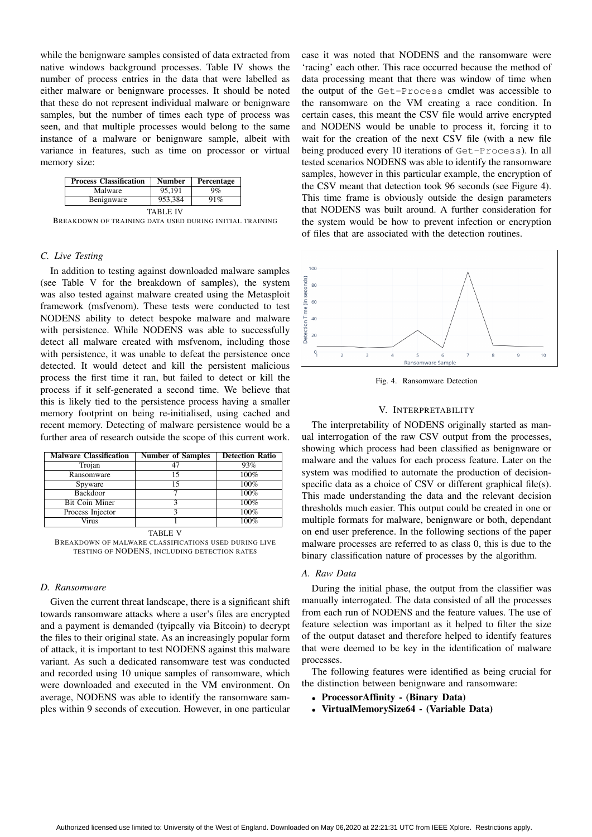while the benignware samples consisted of data extracted from native windows background processes. Table IV shows the number of process entries in the data that were labelled as either malware or benignware processes. It should be noted that these do not represent individual malware or benignware samples, but the number of times each type of process was seen, and that multiple processes would belong to the same instance of a malware or benignware sample, albeit with variance in features, such as time on processor or virtual memory size:

| <b>Process Classification</b> | <b>Number</b> | Percentage |  |  |  |
|-------------------------------|---------------|------------|--|--|--|
| Malware                       | 95.191        | 9%         |  |  |  |
| Benignware                    | 953.384       | 91%        |  |  |  |
| <b>TABLE IV</b>               |               |            |  |  |  |

|--|

# *C. Live Testing*

In addition to testing against downloaded malware samples (see Table V for the breakdown of samples), the system was also tested against malware created using the Metasploit framework (msfvenom). These tests were conducted to test NODENS ability to detect bespoke malware and malware with persistence. While NODENS was able to successfully detect all malware created with msfvenom, including those with persistence, it was unable to defeat the persistence once detected. It would detect and kill the persistent malicious process the first time it ran, but failed to detect or kill the process if it self-generated a second time. We believe that this is likely tied to the persistence process having a smaller memory footprint on being re-initialised, using cached and recent memory. Detecting of malware persistence would be a further area of research outside the scope of this current work.

| <b>Malware Classification</b> | <b>Number of Samples</b> | <b>Detection Ratio</b> |
|-------------------------------|--------------------------|------------------------|
| Trojan                        |                          | 93%                    |
| Ransomware                    | 15                       | 100%                   |
| Spyware                       | 15                       | 100%                   |
| Backdoor                      |                          | 100%                   |
| <b>Bit Coin Miner</b>         |                          | 100%                   |
| Process Injector              |                          | 100%                   |
| Virus                         |                          | 100%                   |

TABLE V

BREAKDOWN OF MALWARE CLASSIFICATIONS USED DURING LIVE TESTING OF NODENS, INCLUDING DETECTION RATES

#### *D. Ransomware*

Given the current threat landscape, there is a significant shift towards ransomware attacks where a user's files are encrypted and a payment is demanded (tyipcally via Bitcoin) to decrypt the files to their original state. As an increasingly popular form of attack, it is important to test NODENS against this malware variant. As such a dedicated ransomware test was conducted and recorded using 10 unique samples of ransomware, which were downloaded and executed in the VM environment. On average, NODENS was able to identify the ransomware samples within 9 seconds of execution. However, in one particular

case it was noted that NODENS and the ransomware were 'racing' each other. This race occurred because the method of data processing meant that there was window of time when the output of the Get-Process cmdlet was accessible to the ransomware on the VM creating a race condition. In certain cases, this meant the CSV file would arrive encrypted and NODENS would be unable to process it, forcing it to wait for the creation of the next CSV file (with a new file being produced every 10 iterations of Get-Process). In all tested scenarios NODENS was able to identify the ransomware samples, however in this particular example, the encryption of the CSV meant that detection took 96 seconds (see Figure 4). This time frame is obviously outside the design parameters that NODENS was built around. A further consideration for the system would be how to prevent infection or encryption of files that are associated with the detection routines.



Fig. 4. Ransomware Detection

# V. INTERPRETABILITY

The interpretability of NODENS originally started as manual interrogation of the raw CSV output from the processes, showing which process had been classified as benignware or malware and the values for each process feature. Later on the system was modified to automate the production of decisionspecific data as a choice of CSV or different graphical file(s). This made understanding the data and the relevant decision thresholds much easier. This output could be created in one or multiple formats for malware, benignware or both, dependant on end user preference. In the following sections of the paper malware processes are referred to as class 0, this is due to the binary classification nature of processes by the algorithm.

# *A. Raw Data*

During the initial phase, the output from the classifier was manually interrogated. The data consisted of all the processes from each run of NODENS and the feature values. The use of feature selection was important as it helped to filter the size of the output dataset and therefore helped to identify features that were deemed to be key in the identification of malware processes.

The following features were identified as being crucial for the distinction between benignware and ransomware:

- ProcessorAffinity (Binary Data)
- VirtualMemorySize64 (Variable Data)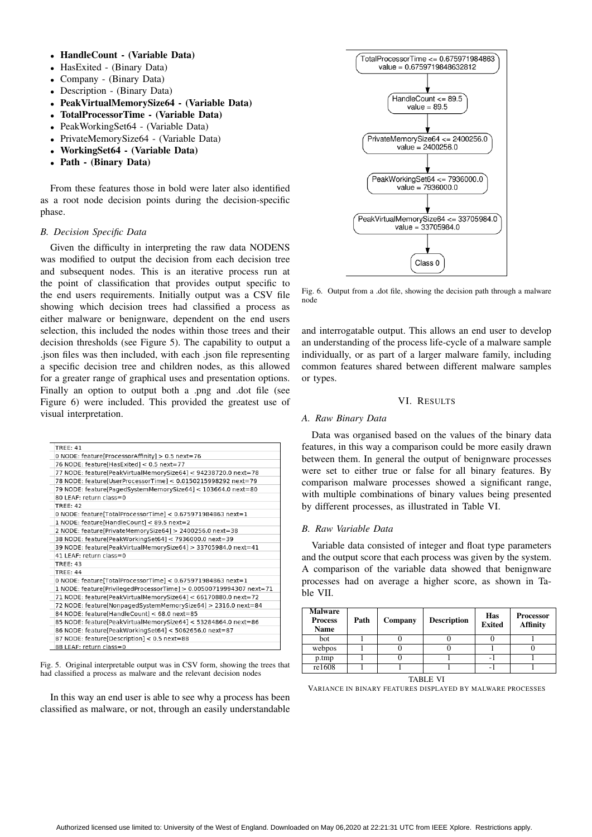- HandleCount (Variable Data)
- HasExited (Binary Data)
- Company (Binary Data)
- Description (Binary Data)
- PeakVirtualMemorySize64 (Variable Data)
- TotalProcessorTime (Variable Data)
- PeakWorkingSet64 (Variable Data)
- PrivateMemorySize64 (Variable Data)
- WorkingSet64 (Variable Data)
- Path (Binary Data)

From these features those in bold were later also identified as a root node decision points during the decision-specific phase.

# *B. Decision Specific Data*

Given the difficulty in interpreting the raw data NODENS was modified to output the decision from each decision tree and subsequent nodes. This is an iterative process run at the point of classification that provides output specific to the end users requirements. Initially output was a CSV file showing which decision trees had classified a process as either malware or benignware, dependent on the end users selection, this included the nodes within those trees and their decision thresholds (see Figure 5). The capability to output a .json files was then included, with each .json file representing a specific decision tree and children nodes, as this allowed for a greater range of graphical uses and presentation options. Finally an option to output both a .png and .dot file (see Figure 6) were included. This provided the greatest use of visual interpretation.

| <b>TREE: 41</b>                                                     |
|---------------------------------------------------------------------|
| 0 NODE: feature[ProcessorAffinity] > 0.5 next=76                    |
| 76 NODE: feature[HasExited] < 0.5 next=77                           |
| 77 NODE: feature[PeakVirtualMemorySize64] < 94238720.0 next=78      |
| 78 NODE: feature[UserProcessorTime] < 0.0150215998292 next=79       |
| 79 NODE: feature[PagedSystemMemorySize64] < 103664.0 next=80        |
| 80 LEAF: return class=0                                             |
| <b>TREE: 42</b>                                                     |
| 0 NODE: feature[TotalProcessorTime] < 0.675971984863 next=1         |
| 1 NODE: feature[HandleCount] < 89.5 next=2                          |
| 2 NODE: feature[PrivateMemorySize64] > 2400256.0 next=38            |
| 38 NODE: feature[PeakWorkingSet64] < 7936000.0 next=39              |
| 39 NODE: feature[PeakVirtualMemorySize64] > 33705984.0 next=41      |
| 41 LEAF: return class=0                                             |
| <b>TREE: 43</b>                                                     |
| <b>TREE: 44</b>                                                     |
| 0 NODE: feature[TotalProcessorTime] < 0.675971984863 next=1         |
| 1 NODE: feature[PrivilegedProcessorTime] > 0.00500719994307 next=71 |
| 71 NODE: feature[PeakVirtualMemorySize64] < 66170880.0 next=72      |
| 72 NODE: feature[NonpagedSystemMemorySize64] > 2316.0 next=84       |
| 84 NODE: feature[HandleCount] < 68.0 next=85                        |
| 85 NODE: feature[PeakVirtualMemorySize64] < 53284864.0 next=86      |
| 86 NODE: feature[PeakWorkingSet64] < 5062656.0 next=87              |
| 87 NODE: feature[Description] < 0.5 next=88                         |
| 88 LEAE: return class=0                                             |

Fig. 5. Original interpretable output was in CSV form, showing the trees that had classified a process as malware and the relevant decision nodes

In this way an end user is able to see why a process has been classified as malware, or not, through an easily understandable



Fig. 6. Output from a .dot file, showing the decision path through a malware node

and interrogatable output. This allows an end user to develop an understanding of the process life-cycle of a malware sample individually, or as part of a larger malware family, including common features shared between different malware samples or types.

# VI. RESULTS

# *A. Raw Binary Data*

Data was organised based on the values of the binary data features, in this way a comparison could be more easily drawn between them. In general the output of benignware processes were set to either true or false for all binary features. By comparison malware processes showed a significant range, with multiple combinations of binary values being presented by different processes, as illustrated in Table VI.

# *B. Raw Variable Data*

Variable data consisted of integer and float type parameters and the output score that each process was given by the system. A comparison of the variable data showed that benignware processes had on average a higher score, as shown in Table VII.

| <b>Malware</b><br><b>Process</b><br><b>Name</b> | Path | Company | <b>Description</b> | Has<br><b>Exited</b> | <b>Processor</b><br><b>Affinity</b> |  |
|-------------------------------------------------|------|---------|--------------------|----------------------|-------------------------------------|--|
| bot                                             |      |         |                    |                      |                                     |  |
| webpos                                          |      |         |                    |                      |                                     |  |
| p.tmp                                           |      |         |                    | - 1                  |                                     |  |
| re1608                                          |      |         |                    | - 1                  |                                     |  |
| TABLE VI                                        |      |         |                    |                      |                                     |  |

VARIANCE IN BINARY FEATURES DISPLAYED BY MALWARE PROCESSES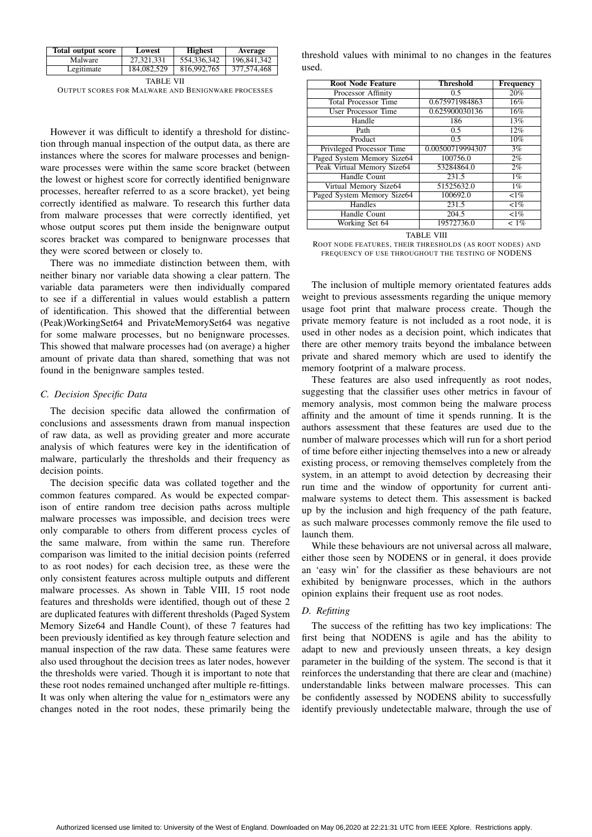| <b>Total output score</b> | Lowest      | <b>Highest</b> | Average     |  |  |  |
|---------------------------|-------------|----------------|-------------|--|--|--|
| Malware                   | 27.321.331  | 554,336,342    | 196,841,342 |  |  |  |
| Legitimate                | 184,082,529 | 816,992,765    | 377,574,468 |  |  |  |
| TABLE VII                 |             |                |             |  |  |  |

OUTPUT SCORES FOR MALWARE AND BENIGNWARE PROCESSES

However it was difficult to identify a threshold for distinction through manual inspection of the output data, as there are instances where the scores for malware processes and benignware processes were within the same score bracket (between the lowest or highest score for correctly identified benignware processes, hereafter referred to as a score bracket), yet being correctly identified as malware. To research this further data from malware processes that were correctly identified, yet whose output scores put them inside the benignware output scores bracket was compared to benignware processes that they were scored between or closely to.

There was no immediate distinction between them, with neither binary nor variable data showing a clear pattern. The variable data parameters were then individually compared to see if a differential in values would establish a pattern of identification. This showed that the differential between (Peak)WorkingSet64 and PrivateMemorySet64 was negative for some malware processes, but no benignware processes. This showed that malware processes had (on average) a higher amount of private data than shared, something that was not found in the benignware samples tested.

# *C. Decision Specific Data*

The decision specific data allowed the confirmation of conclusions and assessments drawn from manual inspection of raw data, as well as providing greater and more accurate analysis of which features were key in the identification of malware, particularly the thresholds and their frequency as decision points.

The decision specific data was collated together and the common features compared. As would be expected comparison of entire random tree decision paths across multiple malware processes was impossible, and decision trees were only comparable to others from different process cycles of the same malware, from within the same run. Therefore comparison was limited to the initial decision points (referred to as root nodes) for each decision tree, as these were the only consistent features across multiple outputs and different malware processes. As shown in Table VIII, 15 root node features and thresholds were identified, though out of these 2 are duplicated features with different thresholds (Paged System Memory Size64 and Handle Count), of these 7 features had been previously identified as key through feature selection and manual inspection of the raw data. These same features were also used throughout the decision trees as later nodes, however the thresholds were varied. Though it is important to note that these root nodes remained unchanged after multiple re-fittings. It was only when altering the value for n\_estimators were any changes noted in the root nodes, these primarily being the

threshold values with minimal to no changes in the features used.

| <b>Threshold</b> | <b>Frequency</b>  |
|------------------|-------------------|
| 0.5              | 20%               |
| 0.675971984863   | 16%               |
| 0.625900030136   | 16%               |
| 186              | $\overline{13}\%$ |
| 0.5              | 12%               |
| 0.5              | 10%               |
| 0.00500719994307 | 3%                |
| 100756.0         | $2\%$             |
| 53284864.0       | $2\%$             |
| 231.5            | $1\%$             |
| 51525632.0       | $1\%$             |
| 100692.0         | $\overline{<}1\%$ |
| 231.5            | $1\%$             |
| 204.5            | ${<}1\%$          |
| 19572736.0       | $\overline{<1\%}$ |
|                  |                   |

TABLE VIII

ROOT NODE FEATURES, THEIR THRESHOLDS (AS ROOT NODES) AND FREQUENCY OF USE THROUGHOUT THE TESTING OF NODENS

The inclusion of multiple memory orientated features adds weight to previous assessments regarding the unique memory usage foot print that malware process create. Though the private memory feature is not included as a root node, it is used in other nodes as a decision point, which indicates that there are other memory traits beyond the imbalance between private and shared memory which are used to identify the memory footprint of a malware process.

These features are also used infrequently as root nodes, suggesting that the classifier uses other metrics in favour of memory analysis, most common being the malware process affinity and the amount of time it spends running. It is the authors assessment that these features are used due to the number of malware processes which will run for a short period of time before either injecting themselves into a new or already existing process, or removing themselves completely from the system, in an attempt to avoid detection by decreasing their run time and the window of opportunity for current antimalware systems to detect them. This assessment is backed up by the inclusion and high frequency of the path feature, as such malware processes commonly remove the file used to launch them.

While these behaviours are not universal across all malware, either those seen by NODENS or in general, it does provide an 'easy win' for the classifier as these behaviours are not exhibited by benignware processes, which in the authors opinion explains their frequent use as root nodes.

# *D. Refitting*

The success of the refitting has two key implications: The first being that NODENS is agile and has the ability to adapt to new and previously unseen threats, a key design parameter in the building of the system. The second is that it reinforces the understanding that there are clear and (machine) understandable links between malware processes. This can be confidently assessed by NODENS ability to successfully identify previously undetectable malware, through the use of